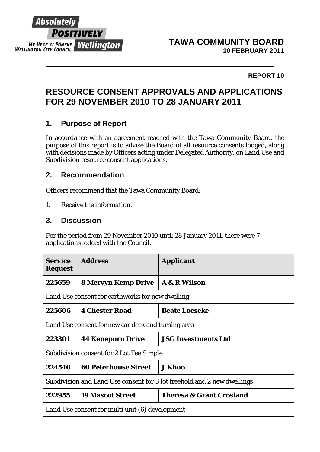

#### **TAWA COMMUNITY BOARD 10 FEBRUARY 2011**

#### **REPORT 10**

# **RESOURCE CONSENT APPROVALS AND APPLICATIONS FOR 29 NOVEMBER 2010 TO 28 JANUARY 2011**

#### **1. Purpose of Report**

In accordance with an agreement reached with the Tawa Community Board, the purpose of this report is to advise the Board of all resource consents lodged, along with decisions made by Officers acting under Delegated Authority, on Land Use and Subdivision resource consent applications.

### **2. Recommendation**

Officers recommend that the Tawa Community Board:

*1. Receive the information.* 

### **3. Discussion**

For the period from 29 November 2010 until 28 January 2011, there were 7 applications lodged with the Council.

| <i><b>Service</b></i><br><b>Request</b>                                 | <b>Address</b>              | <i><b>Applicant</b></i>             |  |
|-------------------------------------------------------------------------|-----------------------------|-------------------------------------|--|
| 225659                                                                  | <b>8 Mervyn Kemp Drive</b>  | <b>A &amp; R Wilson</b>             |  |
| Land Use consent for earthworks for new dwelling                        |                             |                                     |  |
| 225606                                                                  | <b>4 Chester Road</b>       | <b>Beate Loeseke</b>                |  |
| Land Use consent for new car deck and turning area                      |                             |                                     |  |
| 223301                                                                  | <b>44 Kenepuru Drive</b>    | <b>JSG Investments Ltd</b>          |  |
| Subdivision consent for 2 Lot Fee Simple                                |                             |                                     |  |
| 224540                                                                  | <b>60 Peterhouse Street</b> | <b>J Khoo</b>                       |  |
| Subdivision and Land Use consent for 3 lot freehold and 2 new dwellings |                             |                                     |  |
| 222955                                                                  | <b>19 Mascot Street</b>     | <b>Theresa &amp; Grant Crosland</b> |  |
| Land Use consent for multi unit (6) development                         |                             |                                     |  |